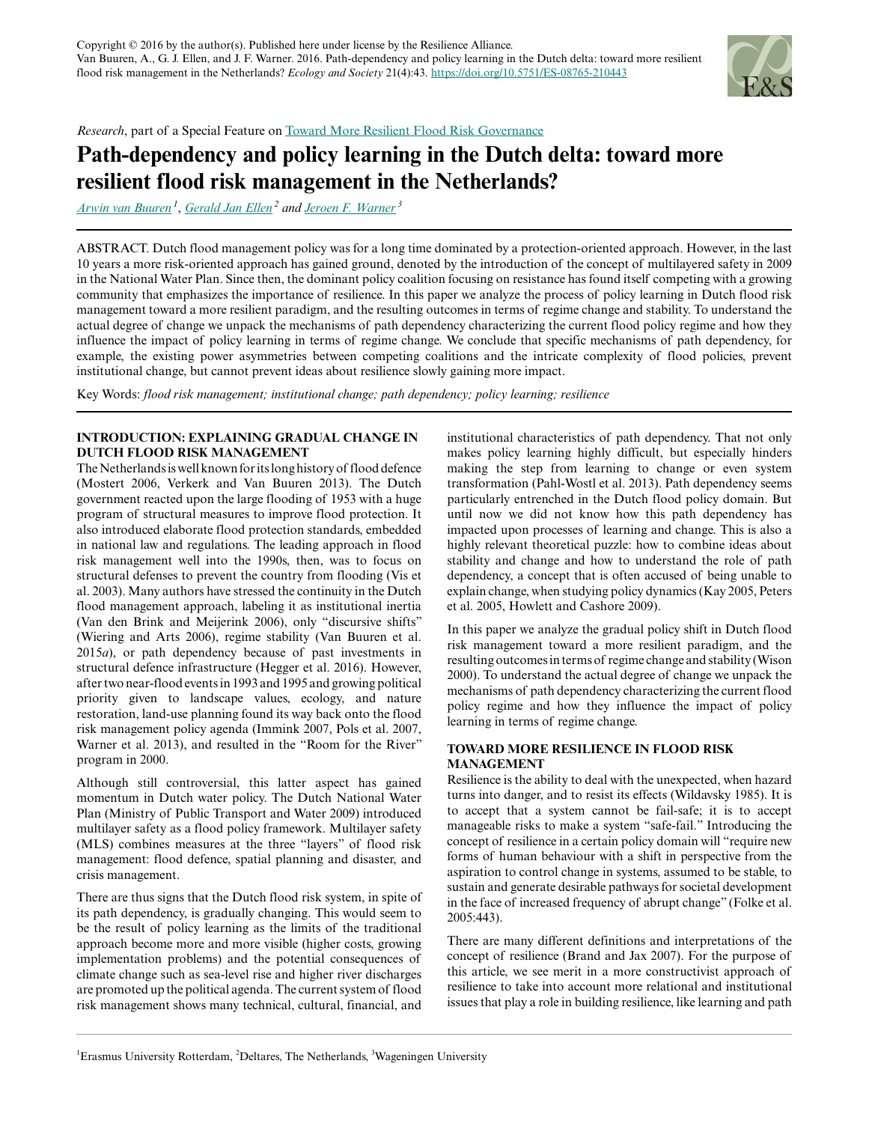

*Research*, part of a Special Feature on [Toward More Resilient Flood Risk Governance](http://www.ecologyandsociety.org/viewissue.php?sf=115)

# **Path-dependency and policy learning in the Dutch delta: toward more resilient flood risk management in the Netherlands?**

*[Arwin van Buuren](mailto:vanbuuren@fsw.eur.nl)<sup>1</sup>* , *[Gerald Jan Ellen](mailto:geraldjan.ellen@deltares.nl)<sup>2</sup> and [Jeroen F. Warner](mailto:jeroenwarner@gmail.com)<sup>3</sup>*

ABSTRACT. Dutch flood management policy was for a long time dominated by a protection-oriented approach. However, in the last 10 years a more risk-oriented approach has gained ground, denoted by the introduction of the concept of multilayered safety in 2009 in the National Water Plan. Since then, the dominant policy coalition focusing on resistance has found itself competing with a growing community that emphasizes the importance of resilience. In this paper we analyze the process of policy learning in Dutch flood risk management toward a more resilient paradigm, and the resulting outcomes in terms of regime change and stability. To understand the actual degree of change we unpack the mechanisms of path dependency characterizing the current flood policy regime and how they influence the impact of policy learning in terms of regime change. We conclude that specific mechanisms of path dependency, for example, the existing power asymmetries between competing coalitions and the intricate complexity of flood policies, prevent institutional change, but cannot prevent ideas about resilience slowly gaining more impact.

Key Words: *flood risk management; institutional change; path dependency; policy learning; resilience*

# **INTRODUCTION: EXPLAINING GRADUAL CHANGE IN DUTCH FLOOD RISK MANAGEMENT**

The Netherlands is well known for its long history of flood defence (Mostert 2006, Verkerk and Van Buuren 2013). The Dutch government reacted upon the large flooding of 1953 with a huge program of structural measures to improve flood protection. It also introduced elaborate flood protection standards, embedded in national law and regulations. The leading approach in flood risk management well into the 1990s, then, was to focus on structural defenses to prevent the country from flooding (Vis et al. 2003). Many authors have stressed the continuity in the Dutch flood management approach, labeling it as institutional inertia (Van den Brink and Meijerink 2006), only "discursive shifts" (Wiering and Arts 2006), regime stability (Van Buuren et al. 2015*a*), or path dependency because of past investments in structural defence infrastructure (Hegger et al. 2016). However, after two near-flood events in 1993 and 1995 and growing political priority given to landscape values, ecology, and nature restoration, land-use planning found its way back onto the flood risk management policy agenda (Immink 2007, Pols et al. 2007, Warner et al. 2013), and resulted in the "Room for the River" program in 2000.

Although still controversial, this latter aspect has gained momentum in Dutch water policy. The Dutch National Water Plan (Ministry of Public Transport and Water 2009) introduced multilayer safety as a flood policy framework. Multilayer safety (MLS) combines measures at the three "layers" of flood risk management: flood defence, spatial planning and disaster, and crisis management.

There are thus signs that the Dutch flood risk system, in spite of its path dependency, is gradually changing. This would seem to be the result of policy learning as the limits of the traditional approach become more and more visible (higher costs, growing implementation problems) and the potential consequences of climate change such as sea-level rise and higher river discharges are promoted up the political agenda. The current system of flood risk management shows many technical, cultural, financial, and

institutional characteristics of path dependency. That not only makes policy learning highly difficult, but especially hinders making the step from learning to change or even system transformation (Pahl-Wostl et al. 2013). Path dependency seems particularly entrenched in the Dutch flood policy domain. But until now we did not know how this path dependency has impacted upon processes of learning and change. This is also a highly relevant theoretical puzzle: how to combine ideas about stability and change and how to understand the role of path dependency, a concept that is often accused of being unable to explain change, when studying policy dynamics (Kay 2005, Peters et al. 2005, Howlett and Cashore 2009).

In this paper we analyze the gradual policy shift in Dutch flood risk management toward a more resilient paradigm, and the resulting outcomes in terms of regime change and stability (Wison 2000). To understand the actual degree of change we unpack the mechanisms of path dependency characterizing the current flood policy regime and how they influence the impact of policy learning in terms of regime change.

# **TOWARD MORE RESILIENCE IN FLOOD RISK MANAGEMENT**

Resilience is the ability to deal with the unexpected, when hazard turns into danger, and to resist its effects (Wildavsky 1985). It is to accept that a system cannot be fail-safe; it is to accept manageable risks to make a system "safe-fail." Introducing the concept of resilience in a certain policy domain will "require new forms of human behaviour with a shift in perspective from the aspiration to control change in systems, assumed to be stable, to sustain and generate desirable pathways for societal development in the face of increased frequency of abrupt change" (Folke et al. 2005:443).

There are many different definitions and interpretations of the concept of resilience (Brand and Jax 2007). For the purpose of this article, we see merit in a more constructivist approach of resilience to take into account more relational and institutional issues that play a role in building resilience, like learning and path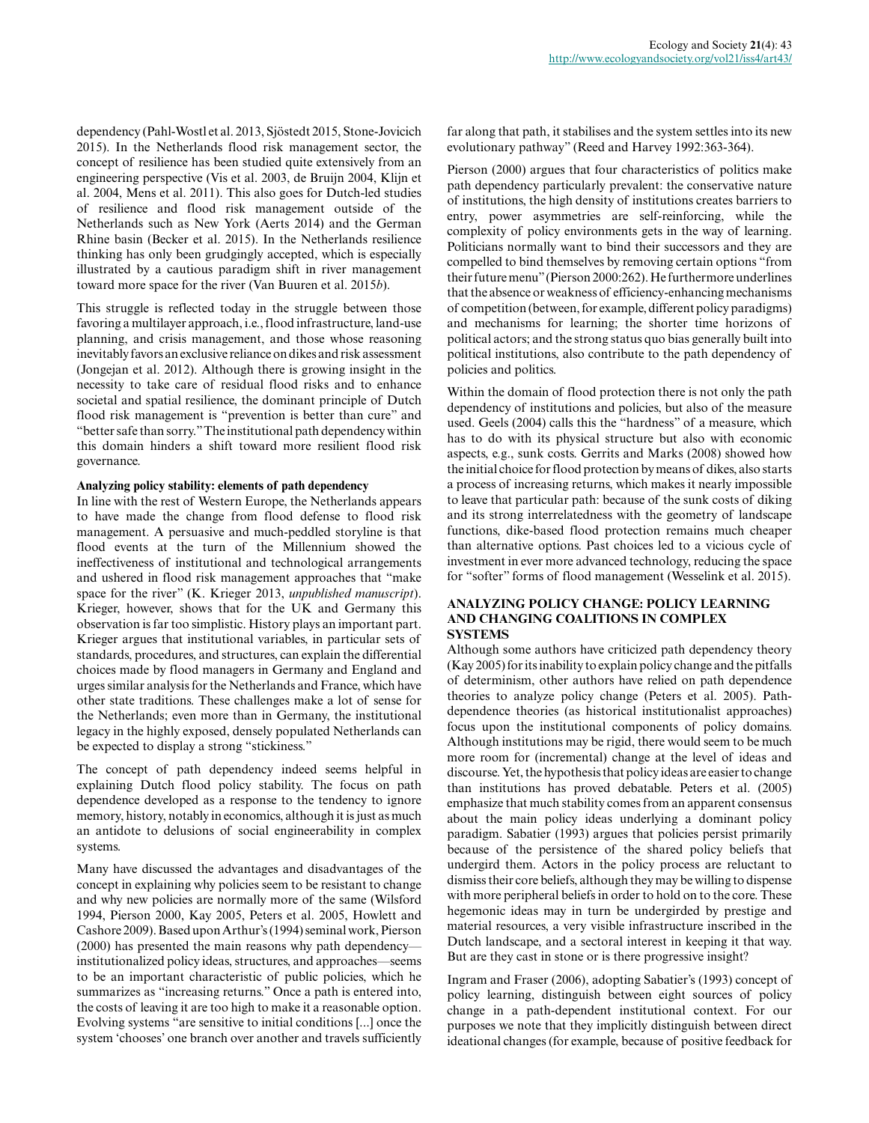dependency (Pahl-Wostl et al. 2013, Sjöstedt 2015, Stone-Jovicich 2015). In the Netherlands flood risk management sector, the concept of resilience has been studied quite extensively from an engineering perspective (Vis et al. 2003, de Bruijn 2004, Klijn et al. 2004, Mens et al. 2011). This also goes for Dutch-led studies of resilience and flood risk management outside of the Netherlands such as New York (Aerts 2014) and the German Rhine basin (Becker et al. 2015). In the Netherlands resilience thinking has only been grudgingly accepted, which is especially illustrated by a cautious paradigm shift in river management toward more space for the river (Van Buuren et al. 2015*b*).

This struggle is reflected today in the struggle between those favoring a multilayer approach, i.e., flood infrastructure, land-use planning, and crisis management, and those whose reasoning inevitably favors an exclusive reliance on dikes and risk assessment (Jongejan et al. 2012). Although there is growing insight in the necessity to take care of residual flood risks and to enhance societal and spatial resilience, the dominant principle of Dutch flood risk management is "prevention is better than cure" and "better safe than sorry." The institutional path dependency within this domain hinders a shift toward more resilient flood risk governance.

# **Analyzing policy stability: elements of path dependency**

In line with the rest of Western Europe, the Netherlands appears to have made the change from flood defense to flood risk management. A persuasive and much-peddled storyline is that flood events at the turn of the Millennium showed the ineffectiveness of institutional and technological arrangements and ushered in flood risk management approaches that "make space for the river" (K. Krieger 2013, *unpublished manuscript*). Krieger, however, shows that for the UK and Germany this observation is far too simplistic. History plays an important part. Krieger argues that institutional variables, in particular sets of standards, procedures, and structures, can explain the differential choices made by flood managers in Germany and England and urges similar analysis for the Netherlands and France, which have other state traditions. These challenges make a lot of sense for the Netherlands; even more than in Germany, the institutional legacy in the highly exposed, densely populated Netherlands can be expected to display a strong "stickiness."

The concept of path dependency indeed seems helpful in explaining Dutch flood policy stability. The focus on path dependence developed as a response to the tendency to ignore memory, history, notably in economics, although it is just as much an antidote to delusions of social engineerability in complex systems.

Many have discussed the advantages and disadvantages of the concept in explaining why policies seem to be resistant to change and why new policies are normally more of the same (Wilsford 1994, Pierson 2000, Kay 2005, Peters et al. 2005, Howlett and Cashore 2009). Based upon Arthur's (1994) seminal work, Pierson (2000) has presented the main reasons why path dependency institutionalized policy ideas, structures, and approaches—seems to be an important characteristic of public policies, which he summarizes as "increasing returns." Once a path is entered into, the costs of leaving it are too high to make it a reasonable option. Evolving systems "are sensitive to initial conditions [...] once the system 'chooses' one branch over another and travels sufficiently

far along that path, it stabilises and the system settles into its new evolutionary pathway" (Reed and Harvey 1992:363-364).

Pierson (2000) argues that four characteristics of politics make path dependency particularly prevalent: the conservative nature of institutions, the high density of institutions creates barriers to entry, power asymmetries are self-reinforcing, while the complexity of policy environments gets in the way of learning. Politicians normally want to bind their successors and they are compelled to bind themselves by removing certain options "from their future menu" (Pierson 2000:262). He furthermore underlines that the absence or weakness of efficiency-enhancing mechanisms of competition (between, for example, different policy paradigms) and mechanisms for learning; the shorter time horizons of political actors; and the strong status quo bias generally built into political institutions, also contribute to the path dependency of policies and politics.

Within the domain of flood protection there is not only the path dependency of institutions and policies, but also of the measure used. Geels (2004) calls this the "hardness" of a measure, which has to do with its physical structure but also with economic aspects, e.g., sunk costs. Gerrits and Marks (2008) showed how the initial choice for flood protection by means of dikes, also starts a process of increasing returns, which makes it nearly impossible to leave that particular path: because of the sunk costs of diking and its strong interrelatedness with the geometry of landscape functions, dike-based flood protection remains much cheaper than alternative options. Past choices led to a vicious cycle of investment in ever more advanced technology, reducing the space for "softer" forms of flood management (Wesselink et al. 2015).

# **ANALYZING POLICY CHANGE: POLICY LEARNING AND CHANGING COALITIONS IN COMPLEX SYSTEMS**

Although some authors have criticized path dependency theory (Kay 2005) for its inability to explain policy change and the pitfalls of determinism, other authors have relied on path dependence theories to analyze policy change (Peters et al. 2005). Pathdependence theories (as historical institutionalist approaches) focus upon the institutional components of policy domains. Although institutions may be rigid, there would seem to be much more room for (incremental) change at the level of ideas and discourse. Yet, the hypothesis that policy ideas are easier to change than institutions has proved debatable. Peters et al. (2005) emphasize that much stability comes from an apparent consensus about the main policy ideas underlying a dominant policy paradigm. Sabatier (1993) argues that policies persist primarily because of the persistence of the shared policy beliefs that undergird them. Actors in the policy process are reluctant to dismiss their core beliefs, although they may be willing to dispense with more peripheral beliefs in order to hold on to the core. These hegemonic ideas may in turn be undergirded by prestige and material resources, a very visible infrastructure inscribed in the Dutch landscape, and a sectoral interest in keeping it that way. But are they cast in stone or is there progressive insight?

Ingram and Fraser (2006), adopting Sabatier's (1993) concept of policy learning, distinguish between eight sources of policy change in a path-dependent institutional context. For our purposes we note that they implicitly distinguish between direct ideational changes (for example, because of positive feedback for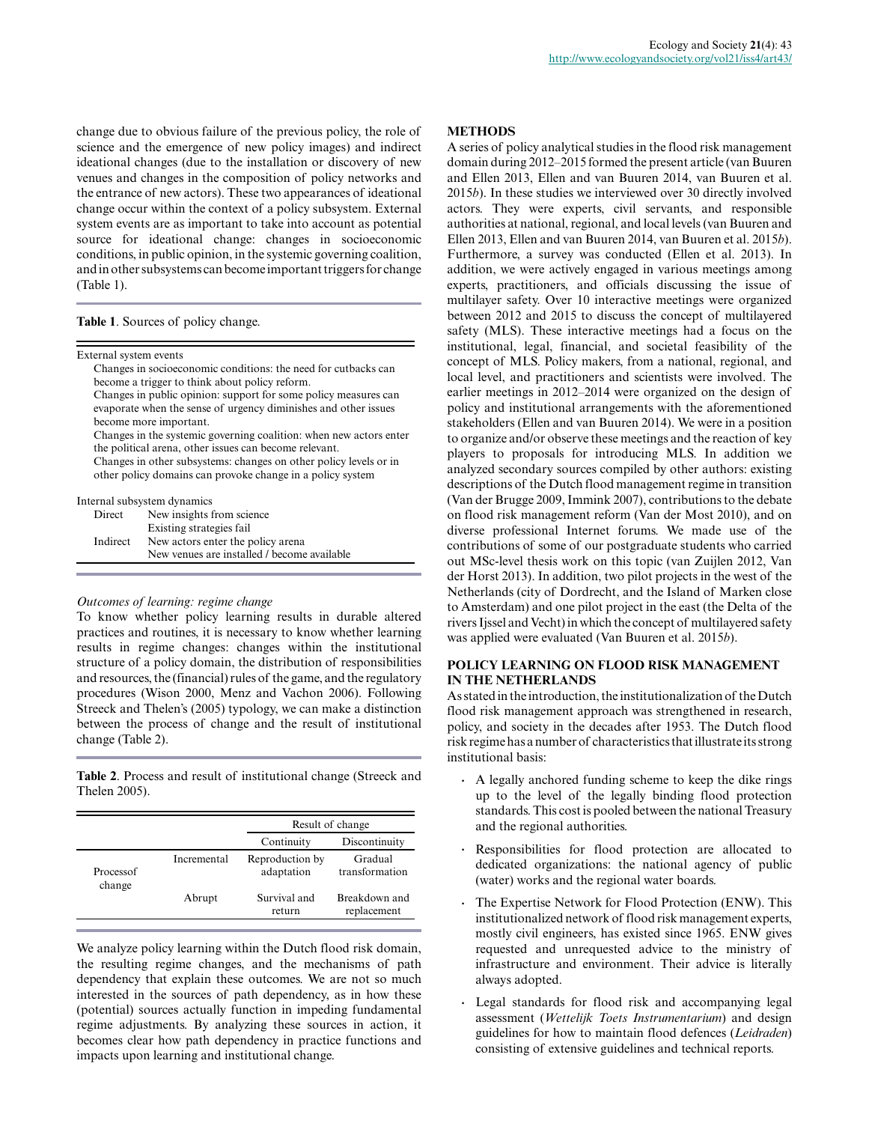change due to obvious failure of the previous policy, the role of science and the emergence of new policy images) and indirect ideational changes (due to the installation or discovery of new venues and changes in the composition of policy networks and the entrance of new actors). These two appearances of ideational change occur within the context of a policy subsystem. External system events are as important to take into account as potential source for ideational change: changes in socioeconomic conditions, in public opinion, in the systemic governing coalition, and in other subsystems can become important triggers for change (Table 1).

**Table 1**. Sources of policy change.

External system events

Changes in socioeconomic conditions: the need for cutbacks can become a trigger to think about policy reform. Changes in public opinion: support for some policy measures can evaporate when the sense of urgency diminishes and other issues become more important. Changes in the systemic governing coalition: when new actors enter

the political arena, other issues can become relevant. Changes in other subsystems: changes on other policy levels or in other policy domains can provoke change in a policy system

#### Internal subsystem dynamics

| Direct   | New insights from science                   |
|----------|---------------------------------------------|
|          | Existing strategies fail                    |
| Indirect | New actors enter the policy arena           |
|          | New venues are installed / become available |

#### *Outcomes of learning: regime change*

To know whether policy learning results in durable altered practices and routines, it is necessary to know whether learning results in regime changes: changes within the institutional structure of a policy domain, the distribution of responsibilities and resources, the (financial) rules of the game, and the regulatory procedures (Wison 2000, Menz and Vachon 2006). Following Streeck and Thelen's (2005) typology, we can make a distinction between the process of change and the result of institutional change (Table 2).

**Table 2**. Process and result of institutional change (Streeck and Thelen 2005).

|                     |             | Result of change              |                              |
|---------------------|-------------|-------------------------------|------------------------------|
|                     |             | Continuity                    | Discontinuity                |
| Processof<br>change | Incremental | Reproduction by<br>adaptation | Gradual<br>transformation    |
|                     | Abrupt      | Survival and<br>return        | Breakdown and<br>replacement |

We analyze policy learning within the Dutch flood risk domain, the resulting regime changes, and the mechanisms of path dependency that explain these outcomes. We are not so much interested in the sources of path dependency, as in how these (potential) sources actually function in impeding fundamental regime adjustments. By analyzing these sources in action, it becomes clear how path dependency in practice functions and impacts upon learning and institutional change.

#### **METHODS**

A series of policy analytical studies in the flood risk management domain during 2012–2015 formed the present article (van Buuren and Ellen 2013, Ellen and van Buuren 2014, van Buuren et al. 2015*b*). In these studies we interviewed over 30 directly involved actors. They were experts, civil servants, and responsible authorities at national, regional, and local levels (van Buuren and Ellen 2013, Ellen and van Buuren 2014, van Buuren et al. 2015*b*). Furthermore, a survey was conducted (Ellen et al. 2013). In addition, we were actively engaged in various meetings among experts, practitioners, and officials discussing the issue of multilayer safety. Over 10 interactive meetings were organized between 2012 and 2015 to discuss the concept of multilayered safety (MLS). These interactive meetings had a focus on the institutional, legal, financial, and societal feasibility of the concept of MLS. Policy makers, from a national, regional, and local level, and practitioners and scientists were involved. The earlier meetings in 2012–2014 were organized on the design of policy and institutional arrangements with the aforementioned stakeholders (Ellen and van Buuren 2014). We were in a position to organize and/or observe these meetings and the reaction of key players to proposals for introducing MLS. In addition we analyzed secondary sources compiled by other authors: existing descriptions of the Dutch flood management regime in transition (Van der Brugge 2009, Immink 2007), contributions to the debate on flood risk management reform (Van der Most 2010), and on diverse professional Internet forums. We made use of the contributions of some of our postgraduate students who carried out MSc-level thesis work on this topic (van Zuijlen 2012, Van der Horst 2013). In addition, two pilot projects in the west of the Netherlands (city of Dordrecht, and the Island of Marken close to Amsterdam) and one pilot project in the east (the Delta of the rivers Ijssel and Vecht) in which the concept of multilayered safety was applied were evaluated (Van Buuren et al. 2015*b*).

# **POLICY LEARNING ON FLOOD RISK MANAGEMENT IN THE NETHERLANDS**

As stated in the introduction, the institutionalization of the Dutch flood risk management approach was strengthened in research, policy, and society in the decades after 1953. The Dutch flood risk regime has a number of characteristics that illustrate its strong institutional basis:

- **.** A legally anchored funding scheme to keep the dike rings up to the level of the legally binding flood protection standards. This cost is pooled between the national Treasury and the regional authorities.
- **.** Responsibilities for flood protection are allocated to dedicated organizations: the national agency of public (water) works and the regional water boards.
- **.** The Expertise Network for Flood Protection (ENW). This institutionalized network of flood risk management experts, mostly civil engineers, has existed since 1965. ENW gives requested and unrequested advice to the ministry of infrastructure and environment. Their advice is literally always adopted.
- **.** Legal standards for flood risk and accompanying legal assessment (*Wettelijk Toets Instrumentarium*) and design guidelines for how to maintain flood defences (*Leidraden*) consisting of extensive guidelines and technical reports.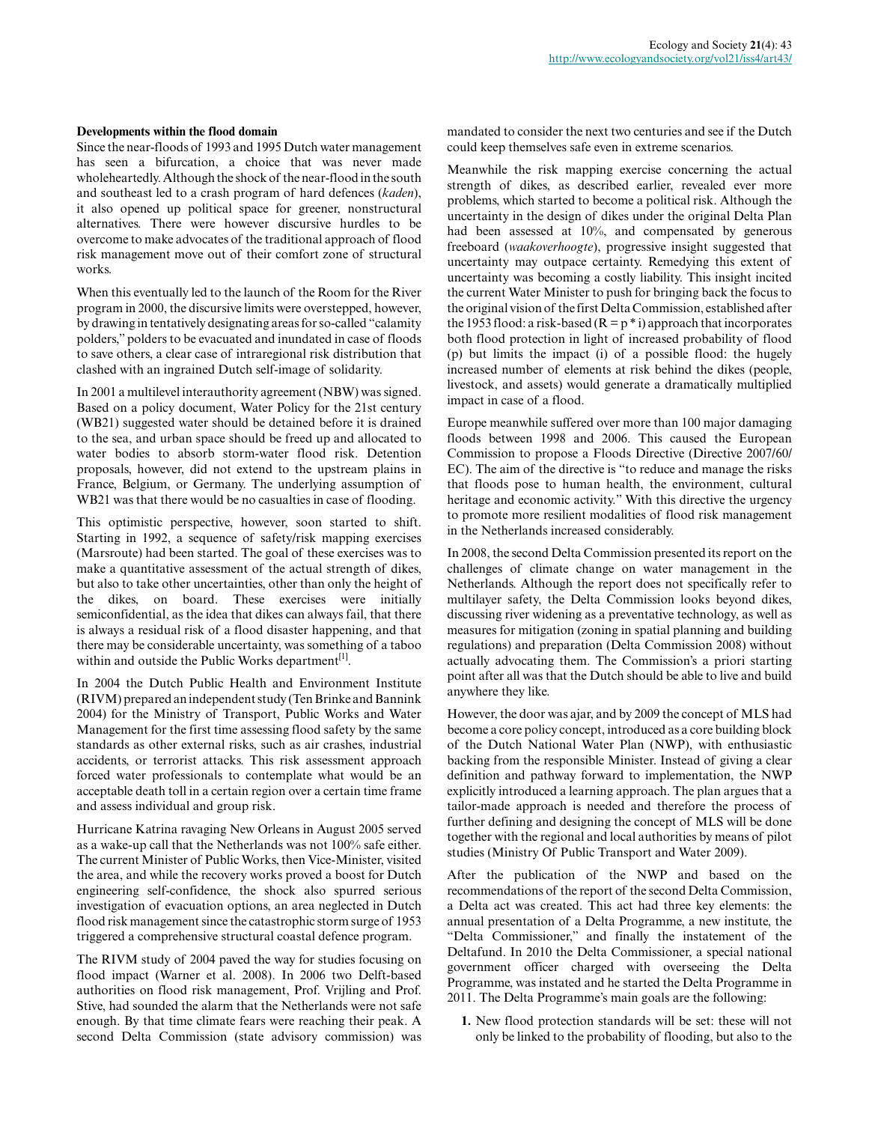#### **Developments within the flood domain**

Since the near-floods of 1993 and 1995 Dutch water management has seen a bifurcation, a choice that was never made wholeheartedly. Although the shock of the near-flood in the south and southeast led to a crash program of hard defences (*kaden*), it also opened up political space for greener, nonstructural alternatives. There were however discursive hurdles to be overcome to make advocates of the traditional approach of flood risk management move out of their comfort zone of structural works.

When this eventually led to the launch of the Room for the River program in 2000, the discursive limits were overstepped, however, by drawing in tentatively designating areas for so-called "calamity polders," polders to be evacuated and inundated in case of floods to save others, a clear case of intraregional risk distribution that clashed with an ingrained Dutch self-image of solidarity.

In 2001 a multilevel interauthority agreement (NBW) was signed. Based on a policy document, Water Policy for the 21st century (WB21) suggested water should be detained before it is drained to the sea, and urban space should be freed up and allocated to water bodies to absorb storm-water flood risk. Detention proposals, however, did not extend to the upstream plains in France, Belgium, or Germany. The underlying assumption of WB21 was that there would be no casualties in case of flooding.

This optimistic perspective, however, soon started to shift. Starting in 1992, a sequence of safety/risk mapping exercises (Marsroute) had been started. The goal of these exercises was to make a quantitative assessment of the actual strength of dikes, but also to take other uncertainties, other than only the height of the dikes, on board. These exercises were initially semiconfidential, as the idea that dikes can always fail, that there is always a residual risk of a flood disaster happening, and that there may be considerable uncertainty, was something of a taboo within and outside the Public Works department<sup>[1]</sup>.

In 2004 the Dutch Public Health and Environment Institute (RIVM) prepared an independent study (Ten Brinke and Bannink 2004) for the Ministry of Transport, Public Works and Water Management for the first time assessing flood safety by the same standards as other external risks, such as air crashes, industrial accidents, or terrorist attacks. This risk assessment approach forced water professionals to contemplate what would be an acceptable death toll in a certain region over a certain time frame and assess individual and group risk.

Hurricane Katrina ravaging New Orleans in August 2005 served as a wake-up call that the Netherlands was not 100% safe either. The current Minister of Public Works, then Vice-Minister, visited the area, and while the recovery works proved a boost for Dutch engineering self-confidence, the shock also spurred serious investigation of evacuation options, an area neglected in Dutch flood risk management since the catastrophic storm surge of 1953 triggered a comprehensive structural coastal defence program.

The RIVM study of 2004 paved the way for studies focusing on flood impact (Warner et al. 2008). In 2006 two Delft-based authorities on flood risk management, Prof. Vrijling and Prof. Stive, had sounded the alarm that the Netherlands were not safe enough. By that time climate fears were reaching their peak. A second Delta Commission (state advisory commission) was mandated to consider the next two centuries and see if the Dutch could keep themselves safe even in extreme scenarios.

Meanwhile the risk mapping exercise concerning the actual strength of dikes, as described earlier, revealed ever more problems, which started to become a political risk. Although the uncertainty in the design of dikes under the original Delta Plan had been assessed at 10%, and compensated by generous freeboard (*waakoverhoogte*), progressive insight suggested that uncertainty may outpace certainty. Remedying this extent of uncertainty was becoming a costly liability. This insight incited the current Water Minister to push for bringing back the focus to the original vision of the first Delta Commission, established after the 1953 flood: a risk-based ( $R = p * i$ ) approach that incorporates both flood protection in light of increased probability of flood (p) but limits the impact (i) of a possible flood: the hugely increased number of elements at risk behind the dikes (people, livestock, and assets) would generate a dramatically multiplied impact in case of a flood.

Europe meanwhile suffered over more than 100 major damaging floods between 1998 and 2006. This caused the European Commission to propose a Floods Directive (Directive 2007/60/ EC). The aim of the directive is "to reduce and manage the risks that floods pose to human health, the environment, cultural heritage and economic activity." With this directive the urgency to promote more resilient modalities of flood risk management in the Netherlands increased considerably.

In 2008, the second Delta Commission presented its report on the challenges of climate change on water management in the Netherlands. Although the report does not specifically refer to multilayer safety, the Delta Commission looks beyond dikes, discussing river widening as a preventative technology, as well as measures for mitigation (zoning in spatial planning and building regulations) and preparation (Delta Commission 2008) without actually advocating them. The Commission's a priori starting point after all was that the Dutch should be able to live and build anywhere they like.

However, the door was ajar, and by 2009 the concept of MLS had become a core policy concept, introduced as a core building block of the Dutch National Water Plan (NWP), with enthusiastic backing from the responsible Minister. Instead of giving a clear definition and pathway forward to implementation, the NWP explicitly introduced a learning approach. The plan argues that a tailor-made approach is needed and therefore the process of further defining and designing the concept of MLS will be done together with the regional and local authorities by means of pilot studies (Ministry Of Public Transport and Water 2009).

After the publication of the NWP and based on the recommendations of the report of the second Delta Commission, a Delta act was created. This act had three key elements: the annual presentation of a Delta Programme, a new institute, the "Delta Commissioner," and finally the instatement of the Deltafund. In 2010 the Delta Commissioner, a special national government officer charged with overseeing the Delta Programme, was instated and he started the Delta Programme in 2011. The Delta Programme's main goals are the following:

**1.** New flood protection standards will be set: these will not only be linked to the probability of flooding, but also to the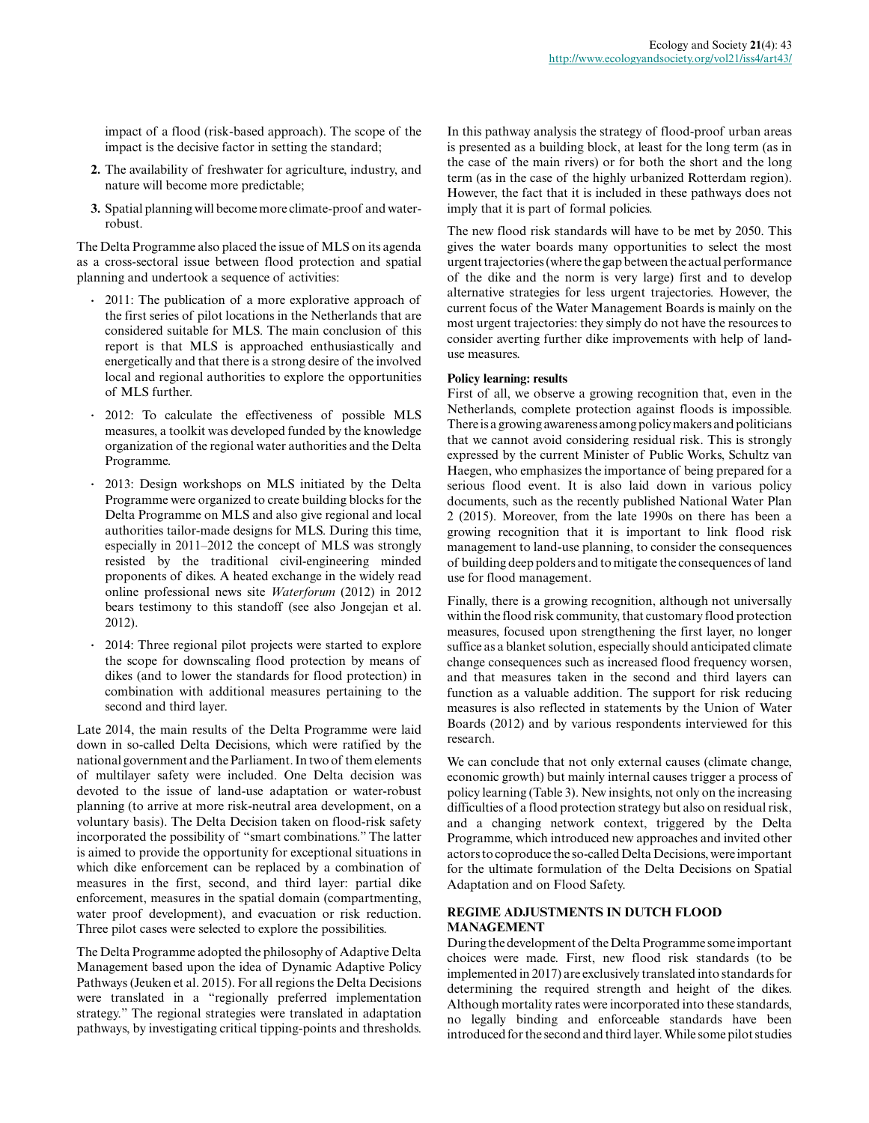impact of a flood (risk-based approach). The scope of the impact is the decisive factor in setting the standard;

- **2.** The availability of freshwater for agriculture, industry, and nature will become more predictable;
- **3.** Spatial planning will become more climate-proof and waterrobust.

The Delta Programme also placed the issue of MLS on its agenda as a cross-sectoral issue between flood protection and spatial planning and undertook a sequence of activities:

- **.** 2011: The publication of a more explorative approach of the first series of pilot locations in the Netherlands that are considered suitable for MLS. The main conclusion of this report is that MLS is approached enthusiastically and energetically and that there is a strong desire of the involved local and regional authorities to explore the opportunities of MLS further.
- **.** 2012: To calculate the effectiveness of possible MLS measures, a toolkit was developed funded by the knowledge organization of the regional water authorities and the Delta Programme.
- **.** 2013: Design workshops on MLS initiated by the Delta Programme were organized to create building blocks for the Delta Programme on MLS and also give regional and local authorities tailor-made designs for MLS. During this time, especially in 2011–2012 the concept of MLS was strongly resisted by the traditional civil-engineering minded proponents of dikes. A heated exchange in the widely read online professional news site *Waterforum* (2012) in 2012 bears testimony to this standoff (see also Jongejan et al. 2012).
- **.** 2014: Three regional pilot projects were started to explore the scope for downscaling flood protection by means of dikes (and to lower the standards for flood protection) in combination with additional measures pertaining to the second and third layer.

Late 2014, the main results of the Delta Programme were laid down in so-called Delta Decisions, which were ratified by the national government and the Parliament. In two of them elements of multilayer safety were included. One Delta decision was devoted to the issue of land-use adaptation or water-robust planning (to arrive at more risk-neutral area development, on a voluntary basis). The Delta Decision taken on flood-risk safety incorporated the possibility of "smart combinations." The latter is aimed to provide the opportunity for exceptional situations in which dike enforcement can be replaced by a combination of measures in the first, second, and third layer: partial dike enforcement, measures in the spatial domain (compartmenting, water proof development), and evacuation or risk reduction. Three pilot cases were selected to explore the possibilities.

The Delta Programme adopted the philosophy of Adaptive Delta Management based upon the idea of Dynamic Adaptive Policy Pathways (Jeuken et al. 2015). For all regions the Delta Decisions were translated in a "regionally preferred implementation strategy." The regional strategies were translated in adaptation pathways, by investigating critical tipping-points and thresholds.

In this pathway analysis the strategy of flood-proof urban areas is presented as a building block, at least for the long term (as in the case of the main rivers) or for both the short and the long term (as in the case of the highly urbanized Rotterdam region). However, the fact that it is included in these pathways does not imply that it is part of formal policies.

The new flood risk standards will have to be met by 2050. This gives the water boards many opportunities to select the most urgent trajectories (where the gap between the actual performance of the dike and the norm is very large) first and to develop alternative strategies for less urgent trajectories. However, the current focus of the Water Management Boards is mainly on the most urgent trajectories: they simply do not have the resources to consider averting further dike improvements with help of landuse measures.

### **Policy learning: results**

First of all, we observe a growing recognition that, even in the Netherlands, complete protection against floods is impossible. There is a growing awareness among policy makers and politicians that we cannot avoid considering residual risk. This is strongly expressed by the current Minister of Public Works, Schultz van Haegen, who emphasizes the importance of being prepared for a serious flood event. It is also laid down in various policy documents, such as the recently published National Water Plan 2 (2015). Moreover, from the late 1990s on there has been a growing recognition that it is important to link flood risk management to land-use planning, to consider the consequences of building deep polders and to mitigate the consequences of land use for flood management.

Finally, there is a growing recognition, although not universally within the flood risk community, that customary flood protection measures, focused upon strengthening the first layer, no longer suffice as a blanket solution, especially should anticipated climate change consequences such as increased flood frequency worsen, and that measures taken in the second and third layers can function as a valuable addition. The support for risk reducing measures is also reflected in statements by the Union of Water Boards (2012) and by various respondents interviewed for this research.

We can conclude that not only external causes (climate change, economic growth) but mainly internal causes trigger a process of policy learning (Table 3). New insights, not only on the increasing difficulties of a flood protection strategy but also on residual risk, and a changing network context, triggered by the Delta Programme, which introduced new approaches and invited other actors to coproduce the so-called Delta Decisions, were important for the ultimate formulation of the Delta Decisions on Spatial Adaptation and on Flood Safety.

### **REGIME ADJUSTMENTS IN DUTCH FLOOD MANAGEMENT**

During the development of the Delta Programme some important choices were made. First, new flood risk standards (to be implemented in 2017) are exclusively translated into standards for determining the required strength and height of the dikes. Although mortality rates were incorporated into these standards, no legally binding and enforceable standards have been introduced for the second and third layer. While some pilot studies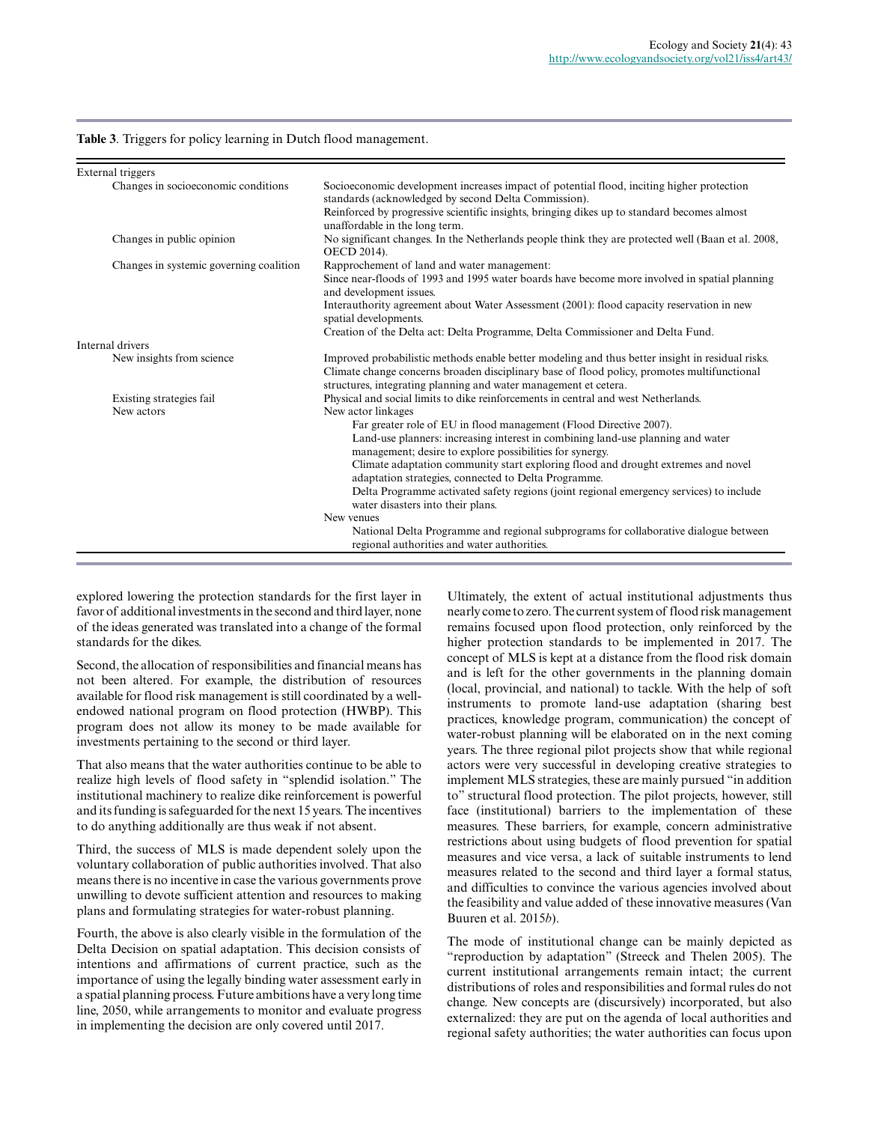|  |  |  |  |  | Table 3. Triggers for policy learning in Dutch flood management. |
|--|--|--|--|--|------------------------------------------------------------------|
|--|--|--|--|--|------------------------------------------------------------------|

|                                               | External triggers                       |                                                                                                                                                                                                                                                                                                                                                                                                                                                                                                |
|-----------------------------------------------|-----------------------------------------|------------------------------------------------------------------------------------------------------------------------------------------------------------------------------------------------------------------------------------------------------------------------------------------------------------------------------------------------------------------------------------------------------------------------------------------------------------------------------------------------|
|                                               | Changes in socioeconomic conditions     | Socioeconomic development increases impact of potential flood, inciting higher protection<br>standards (acknowledged by second Delta Commission).<br>Reinforced by progressive scientific insights, bringing dikes up to standard becomes almost<br>unaffordable in the long term.                                                                                                                                                                                                             |
|                                               | Changes in public opinion               | No significant changes. In the Netherlands people think they are protected well (Baan et al. 2008,<br><b>OECD 2014).</b>                                                                                                                                                                                                                                                                                                                                                                       |
|                                               | Changes in systemic governing coalition | Rapprochement of land and water management:<br>Since near-floods of 1993 and 1995 water boards have become more involved in spatial planning<br>and development issues.<br>Interauthority agreement about Water Assessment (2001): flood capacity reservation in new                                                                                                                                                                                                                           |
|                                               |                                         | spatial developments.<br>Creation of the Delta act: Delta Programme, Delta Commissioner and Delta Fund.                                                                                                                                                                                                                                                                                                                                                                                        |
| Internal drivers<br>New insights from science |                                         | Improved probabilistic methods enable better modeling and thus better insight in residual risks.<br>Climate change concerns broaden disciplinary base of flood policy, promotes multifunctional<br>structures, integrating planning and water management et cetera.                                                                                                                                                                                                                            |
|                                               | Existing strategies fail<br>New actors  | Physical and social limits to dike reinforcements in central and west Netherlands.<br>New actor linkages                                                                                                                                                                                                                                                                                                                                                                                       |
|                                               |                                         | Far greater role of EU in flood management (Flood Directive 2007).<br>Land-use planners: increasing interest in combining land-use planning and water<br>management; desire to explore possibilities for synergy.<br>Climate adaptation community start exploring flood and drought extremes and novel<br>adaptation strategies, connected to Delta Programme.<br>Delta Programme activated safety regions (joint regional emergency services) to include<br>water disasters into their plans. |
|                                               |                                         | New venues<br>National Delta Programme and regional subprograms for collaborative dialogue between<br>regional authorities and water authorities.                                                                                                                                                                                                                                                                                                                                              |

explored lowering the protection standards for the first layer in favor of additional investments in the second and third layer, none of the ideas generated was translated into a change of the formal standards for the dikes.

Second, the allocation of responsibilities and financial means has not been altered. For example, the distribution of resources available for flood risk management is still coordinated by a wellendowed national program on flood protection (HWBP). This program does not allow its money to be made available for investments pertaining to the second or third layer.

That also means that the water authorities continue to be able to realize high levels of flood safety in "splendid isolation." The institutional machinery to realize dike reinforcement is powerful and its funding is safeguarded for the next 15 years. The incentives to do anything additionally are thus weak if not absent.

Third, the success of MLS is made dependent solely upon the voluntary collaboration of public authorities involved. That also means there is no incentive in case the various governments prove unwilling to devote sufficient attention and resources to making plans and formulating strategies for water-robust planning.

Fourth, the above is also clearly visible in the formulation of the Delta Decision on spatial adaptation. This decision consists of intentions and affirmations of current practice, such as the importance of using the legally binding water assessment early in a spatial planning process. Future ambitions have a very long time line, 2050, while arrangements to monitor and evaluate progress in implementing the decision are only covered until 2017.

Ultimately, the extent of actual institutional adjustments thus nearly come to zero. The current system of flood risk management remains focused upon flood protection, only reinforced by the higher protection standards to be implemented in 2017. The concept of MLS is kept at a distance from the flood risk domain and is left for the other governments in the planning domain (local, provincial, and national) to tackle. With the help of soft instruments to promote land-use adaptation (sharing best practices, knowledge program, communication) the concept of water-robust planning will be elaborated on in the next coming years. The three regional pilot projects show that while regional actors were very successful in developing creative strategies to implement MLS strategies, these are mainly pursued "in addition to" structural flood protection. The pilot projects, however, still face (institutional) barriers to the implementation of these measures. These barriers, for example, concern administrative restrictions about using budgets of flood prevention for spatial measures and vice versa, a lack of suitable instruments to lend measures related to the second and third layer a formal status, and difficulties to convince the various agencies involved about the feasibility and value added of these innovative measures (Van Buuren et al. 2015*b*).

The mode of institutional change can be mainly depicted as "reproduction by adaptation" (Streeck and Thelen 2005). The current institutional arrangements remain intact; the current distributions of roles and responsibilities and formal rules do not change. New concepts are (discursively) incorporated, but also externalized: they are put on the agenda of local authorities and regional safety authorities; the water authorities can focus upon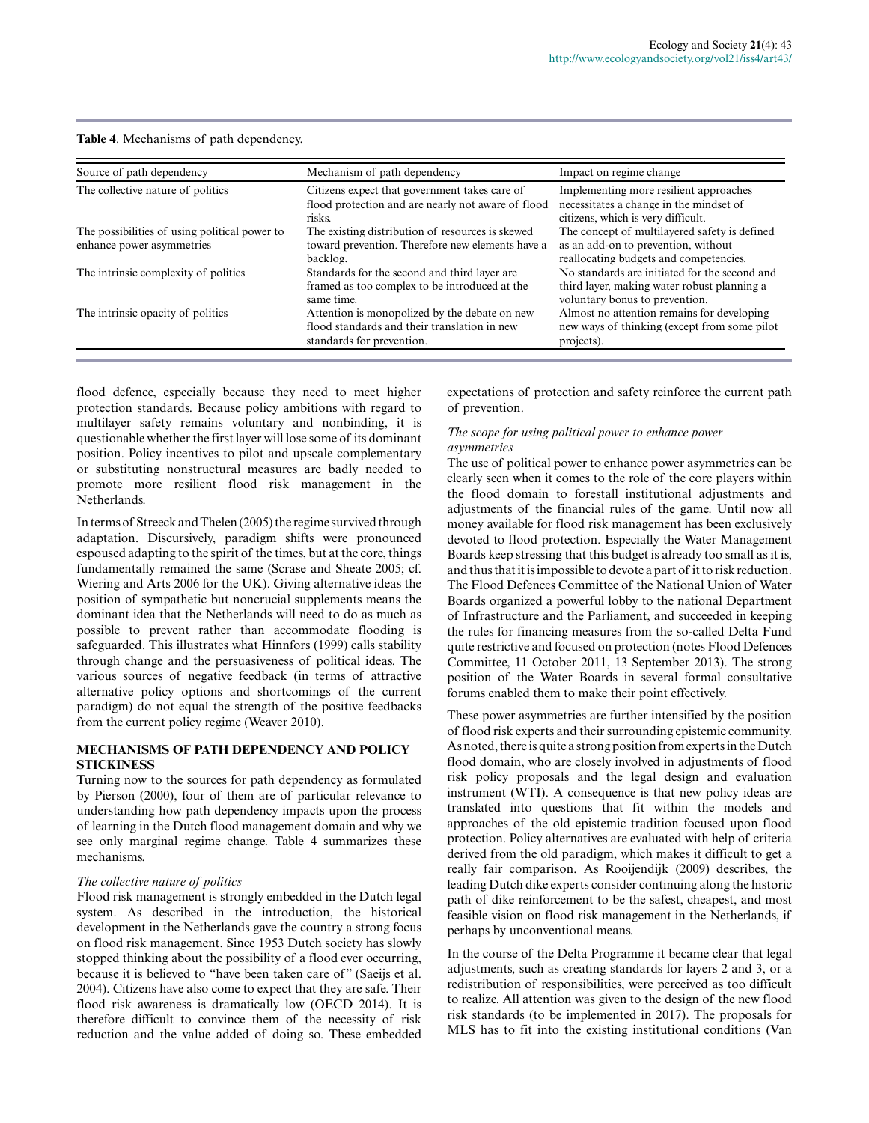| Source of path dependency                                                  | Mechanism of path dependency                                                                                               | Impact on regime change                                                                                                        |
|----------------------------------------------------------------------------|----------------------------------------------------------------------------------------------------------------------------|--------------------------------------------------------------------------------------------------------------------------------|
| The collective nature of politics                                          | Citizens expect that government takes care of<br>flood protection and are nearly not aware of flood<br>risks.              | Implementing more resilient approaches<br>necessitates a change in the mindset of<br>citizens, which is very difficult.        |
| The possibilities of using political power to<br>enhance power asymmetries | The existing distribution of resources is skewed<br>toward prevention. Therefore new elements have a<br>backlog.           | The concept of multilayered safety is defined<br>as an add-on to prevention, without<br>reallocating budgets and competencies. |
| The intrinsic complexity of politics                                       | Standards for the second and third layer are<br>framed as too complex to be introduced at the<br>same time.                | No standards are initiated for the second and<br>third layer, making water robust planning a<br>voluntary bonus to prevention. |
| The intrinsic opacity of politics                                          | Attention is monopolized by the debate on new<br>flood standards and their translation in new<br>standards for prevention. | Almost no attention remains for developing<br>new ways of thinking (except from some pilot<br>projects).                       |

#### **Table 4**. Mechanisms of path dependency.

flood defence, especially because they need to meet higher protection standards. Because policy ambitions with regard to multilayer safety remains voluntary and nonbinding, it is questionable whether the first layer will lose some of its dominant position. Policy incentives to pilot and upscale complementary or substituting nonstructural measures are badly needed to promote more resilient flood risk management in the Netherlands.

In terms of Streeck and Thelen (2005) the regime survived through adaptation. Discursively, paradigm shifts were pronounced espoused adapting to the spirit of the times, but at the core, things fundamentally remained the same (Scrase and Sheate 2005; cf. Wiering and Arts 2006 for the UK). Giving alternative ideas the position of sympathetic but noncrucial supplements means the dominant idea that the Netherlands will need to do as much as possible to prevent rather than accommodate flooding is safeguarded. This illustrates what Hinnfors (1999) calls stability through change and the persuasiveness of political ideas. The various sources of negative feedback (in terms of attractive alternative policy options and shortcomings of the current paradigm) do not equal the strength of the positive feedbacks from the current policy regime (Weaver 2010).

### **MECHANISMS OF PATH DEPENDENCY AND POLICY STICKINESS**

Turning now to the sources for path dependency as formulated by Pierson (2000), four of them are of particular relevance to understanding how path dependency impacts upon the process of learning in the Dutch flood management domain and why we see only marginal regime change. Table 4 summarizes these mechanisms.

#### *The collective nature of politics*

Flood risk management is strongly embedded in the Dutch legal system. As described in the introduction, the historical development in the Netherlands gave the country a strong focus on flood risk management. Since 1953 Dutch society has slowly stopped thinking about the possibility of a flood ever occurring, because it is believed to "have been taken care of" (Saeijs et al. 2004). Citizens have also come to expect that they are safe. Their flood risk awareness is dramatically low (OECD 2014). It is therefore difficult to convince them of the necessity of risk reduction and the value added of doing so. These embedded

expectations of protection and safety reinforce the current path of prevention.

#### *The scope for using political power to enhance power asymmetries*

The use of political power to enhance power asymmetries can be clearly seen when it comes to the role of the core players within the flood domain to forestall institutional adjustments and adjustments of the financial rules of the game. Until now all money available for flood risk management has been exclusively devoted to flood protection. Especially the Water Management Boards keep stressing that this budget is already too small as it is, and thus that it is impossible to devote a part of it to risk reduction. The Flood Defences Committee of the National Union of Water Boards organized a powerful lobby to the national Department of Infrastructure and the Parliament, and succeeded in keeping the rules for financing measures from the so-called Delta Fund quite restrictive and focused on protection (notes Flood Defences Committee, 11 October 2011, 13 September 2013). The strong position of the Water Boards in several formal consultative forums enabled them to make their point effectively.

These power asymmetries are further intensified by the position of flood risk experts and their surrounding epistemic community. As noted, there is quite a strong position from experts in the Dutch flood domain, who are closely involved in adjustments of flood risk policy proposals and the legal design and evaluation instrument (WTI). A consequence is that new policy ideas are translated into questions that fit within the models and approaches of the old epistemic tradition focused upon flood protection. Policy alternatives are evaluated with help of criteria derived from the old paradigm, which makes it difficult to get a really fair comparison. As Rooijendijk (2009) describes, the leading Dutch dike experts consider continuing along the historic path of dike reinforcement to be the safest, cheapest, and most feasible vision on flood risk management in the Netherlands, if perhaps by unconventional means.

In the course of the Delta Programme it became clear that legal adjustments, such as creating standards for layers 2 and 3, or a redistribution of responsibilities, were perceived as too difficult to realize. All attention was given to the design of the new flood risk standards (to be implemented in 2017). The proposals for MLS has to fit into the existing institutional conditions (Van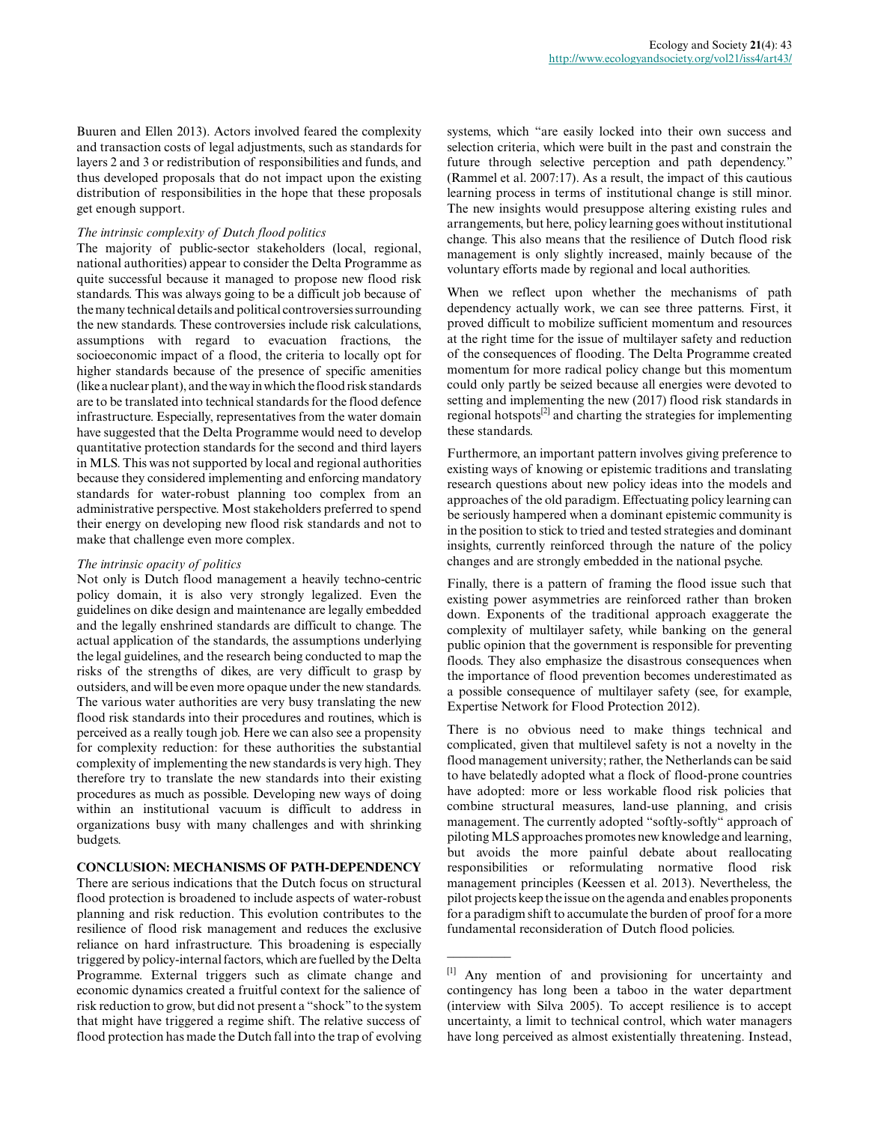Buuren and Ellen 2013). Actors involved feared the complexity and transaction costs of legal adjustments, such as standards for layers 2 and 3 or redistribution of responsibilities and funds, and thus developed proposals that do not impact upon the existing distribution of responsibilities in the hope that these proposals get enough support.

# *The intrinsic complexity of Dutch flood politics*

The majority of public-sector stakeholders (local, regional, national authorities) appear to consider the Delta Programme as quite successful because it managed to propose new flood risk standards. This was always going to be a difficult job because of the many technical details and political controversies surrounding the new standards. These controversies include risk calculations, assumptions with regard to evacuation fractions, the socioeconomic impact of a flood, the criteria to locally opt for higher standards because of the presence of specific amenities (like a nuclear plant), and the way in which the flood risk standards are to be translated into technical standards for the flood defence infrastructure. Especially, representatives from the water domain have suggested that the Delta Programme would need to develop quantitative protection standards for the second and third layers in MLS. This was not supported by local and regional authorities because they considered implementing and enforcing mandatory standards for water-robust planning too complex from an administrative perspective. Most stakeholders preferred to spend their energy on developing new flood risk standards and not to make that challenge even more complex.

#### *The intrinsic opacity of politics*

Not only is Dutch flood management a heavily techno-centric policy domain, it is also very strongly legalized. Even the guidelines on dike design and maintenance are legally embedded and the legally enshrined standards are difficult to change. The actual application of the standards, the assumptions underlying the legal guidelines, and the research being conducted to map the risks of the strengths of dikes, are very difficult to grasp by outsiders, and will be even more opaque under the new standards. The various water authorities are very busy translating the new flood risk standards into their procedures and routines, which is perceived as a really tough job. Here we can also see a propensity for complexity reduction: for these authorities the substantial complexity of implementing the new standards is very high. They therefore try to translate the new standards into their existing procedures as much as possible. Developing new ways of doing within an institutional vacuum is difficult to address in organizations busy with many challenges and with shrinking budgets.

# **CONCLUSION: MECHANISMS OF PATH-DEPENDENCY**

There are serious indications that the Dutch focus on structural flood protection is broadened to include aspects of water-robust planning and risk reduction. This evolution contributes to the resilience of flood risk management and reduces the exclusive reliance on hard infrastructure. This broadening is especially triggered by policy-internal factors, which are fuelled by the Delta Programme. External triggers such as climate change and economic dynamics created a fruitful context for the salience of risk reduction to grow, but did not present a "shock" to the system that might have triggered a regime shift. The relative success of flood protection has made the Dutch fall into the trap of evolving

systems, which "are easily locked into their own success and selection criteria, which were built in the past and constrain the future through selective perception and path dependency." (Rammel et al. 2007:17). As a result, the impact of this cautious learning process in terms of institutional change is still minor. The new insights would presuppose altering existing rules and arrangements, but here, policy learning goes without institutional change. This also means that the resilience of Dutch flood risk management is only slightly increased, mainly because of the voluntary efforts made by regional and local authorities.

When we reflect upon whether the mechanisms of path dependency actually work, we can see three patterns. First, it proved difficult to mobilize sufficient momentum and resources at the right time for the issue of multilayer safety and reduction of the consequences of flooding. The Delta Programme created momentum for more radical policy change but this momentum could only partly be seized because all energies were devoted to setting and implementing the new (2017) flood risk standards in regional hotspots<sup>[2]</sup> and charting the strategies for implementing these standards.

Furthermore, an important pattern involves giving preference to existing ways of knowing or epistemic traditions and translating research questions about new policy ideas into the models and approaches of the old paradigm. Effectuating policy learning can be seriously hampered when a dominant epistemic community is in the position to stick to tried and tested strategies and dominant insights, currently reinforced through the nature of the policy changes and are strongly embedded in the national psyche.

Finally, there is a pattern of framing the flood issue such that existing power asymmetries are reinforced rather than broken down. Exponents of the traditional approach exaggerate the complexity of multilayer safety, while banking on the general public opinion that the government is responsible for preventing floods. They also emphasize the disastrous consequences when the importance of flood prevention becomes underestimated as a possible consequence of multilayer safety (see, for example, Expertise Network for Flood Protection 2012).

There is no obvious need to make things technical and complicated, given that multilevel safety is not a novelty in the flood management university; rather, the Netherlands can be said to have belatedly adopted what a flock of flood-prone countries have adopted: more or less workable flood risk policies that combine structural measures, land-use planning, and crisis management. The currently adopted "softly-softly" approach of piloting MLS approaches promotes new knowledge and learning, but avoids the more painful debate about reallocating responsibilities or reformulating normative flood risk management principles (Keessen et al. 2013). Nevertheless, the pilot projects keep the issue on the agenda and enables proponents for a paradigm shift to accumulate the burden of proof for a more fundamental reconsideration of Dutch flood policies.

 $\overline{\phantom{a}}$ 

<sup>[1]</sup> Any mention of and provisioning for uncertainty and contingency has long been a taboo in the water department (interview with Silva 2005). To accept resilience is to accept uncertainty, a limit to technical control, which water managers have long perceived as almost existentially threatening. Instead,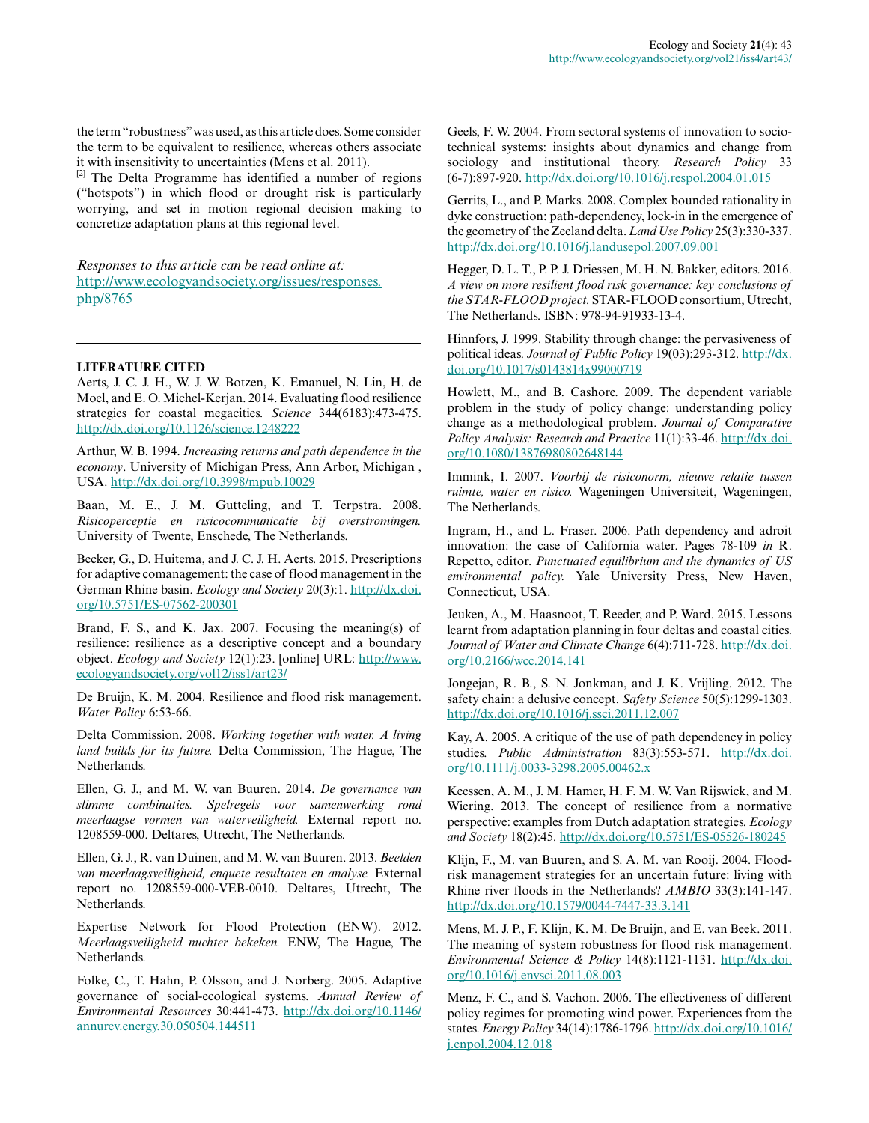the term "robustness" was used, as this article does. Some consider the term to be equivalent to resilience, whereas others associate it with insensitivity to uncertainties (Mens et al. 2011).

 $[2]$  The Delta Programme has identified a number of regions ("hotspots") in which flood or drought risk is particularly worrying, and set in motion regional decision making to concretize adaptation plans at this regional level.

*Responses to this article can be read online at:* [http://www.ecologyandsociety.org/issues/responses.](http://www.ecologyandsociety.org/issues/responses.php/8765) [php/8765](http://www.ecologyandsociety.org/issues/responses.php/8765)

### **LITERATURE CITED**

Aerts, J. C. J. H., W. J. W. Botzen, K. Emanuel, N. Lin, H. de Moel, and E. O. Michel-Kerjan. 2014. Evaluating flood resilience strategies for coastal megacities. *Science* 344(6183):473-475. [http://dx.doi.org/10.1126/science.1248222](http://dx.doi.org/10.1126%2Fscience.1248222)

Arthur, W. B. 1994. *Increasing returns and path dependence in the economy*. University of Michigan Press, Ann Arbor, Michigan , USA. [http://dx.doi.org/10.3998/mpub.10029](http://dx.doi.org/10.3998%2Fmpub.10029) 

Baan, M. E., J. M. Gutteling, and T. Terpstra. 2008. *Risicoperceptie en risicocommunicatie bij overstromingen.* University of Twente, Enschede, The Netherlands.

Becker, G., D. Huitema, and J. C. J. H. Aerts. 2015. Prescriptions for adaptive comanagement: the case of flood management in the German Rhine basin. *Ecology and Society* 20(3):1. [http://dx.doi.](http://dx.doi.org/10.5751%2FES-07562-200301) [org/10.5751/ES-07562-200301](http://dx.doi.org/10.5751%2FES-07562-200301) 

Brand, F. S., and K. Jax. 2007. Focusing the meaning(s) of resilience: resilience as a descriptive concept and a boundary object. *Ecology and Society* 12(1):23. [online] URL: [http://www.](http://www.ecologyandsociety.org/vol12/iss1/art23/) [ecologyandsociety.org/vol12/iss1/art23/](http://www.ecologyandsociety.org/vol12/iss1/art23/)

De Bruijn, K. M. 2004. Resilience and flood risk management. *Water Policy* 6:53-66.

Delta Commission. 2008. *Working together with water. A living land builds for its future.* Delta Commission, The Hague, The Netherlands.

Ellen, G. J., and M. W. van Buuren. 2014. *De governance van slimme combinaties. Spelregels voor samenwerking rond meerlaagse vormen van waterveiligheid.* External report no. 1208559-000. Deltares, Utrecht, The Netherlands.

Ellen, G. J., R. van Duinen, and M. W. van Buuren. 2013. *Beelden van meerlaagsveiligheid, enquete resultaten en analyse.* External report no. 1208559-000-VEB-0010. Deltares, Utrecht, The Netherlands.

Expertise Network for Flood Protection (ENW). 2012. *Meerlaagsveiligheid nuchter bekeken.* ENW, The Hague, The Netherlands.

Folke, C., T. Hahn, P. Olsson, and J. Norberg. 2005. Adaptive governance of social-ecological systems. *Annual Review of Environmental Resources* 30:441-473. [http://dx.doi.org/10.1146/](http://dx.doi.org/10.1146%2Fannurev.energy.30.050504.144511) [annurev.energy.30.050504.144511](http://dx.doi.org/10.1146%2Fannurev.energy.30.050504.144511) 

Geels, F. W. 2004. From sectoral systems of innovation to sociotechnical systems: insights about dynamics and change from sociology and institutional theory. *Research Policy* 33 (6-7):897-920. [http://dx.doi.org/10.1016/j.respol.2004.01.015](http://dx.doi.org/10.1016%2Fj.respol.2004.01.015)

Gerrits, L., and P. Marks. 2008. Complex bounded rationality in dyke construction: path-dependency, lock-in in the emergence of the geometry of the Zeeland delta. *Land Use Policy* 25(3):330-337. [http://dx.doi.org/10.1016/j.landusepol.2007.09.001](http://dx.doi.org/10.1016%2Fj.landusepol.2007.09.001) 

Hegger, D. L. T., P. P. J. Driessen, M. H. N. Bakker, editors. 2016. *A view on more resilient flood risk governance: key conclusions of the STAR-FLOOD project.* STAR-FLOOD consortium, Utrecht, The Netherlands. ISBN: 978-94-91933-13-4.

Hinnfors, J. 1999. Stability through change: the pervasiveness of political ideas. *Journal of Public Policy* 19(03):293-312. [http://dx.](http://dx.doi.org/10.1017%2Fs0143814x99000719) [doi.org/10.1017/s0143814x99000719](http://dx.doi.org/10.1017%2Fs0143814x99000719)

Howlett, M., and B. Cashore. 2009. The dependent variable problem in the study of policy change: understanding policy change as a methodological problem. *Journal of Comparative Policy Analysis: Research and Practice* 11(1):33-46. [http://dx.doi.](http://dx.doi.org/10.1080%2F13876980802648144) [org/10.1080/13876980802648144](http://dx.doi.org/10.1080%2F13876980802648144) 

Immink, I. 2007. *Voorbij de risiconorm, nieuwe relatie tussen ruimte, water en risico.* Wageningen Universiteit, Wageningen, The Netherlands.

Ingram, H., and L. Fraser. 2006. Path dependency and adroit innovation: the case of California water. Pages 78-109 *in* R. Repetto, editor. *Punctuated equilibrium and the dynamics of US environmental policy.* Yale University Press, New Haven, Connecticut, USA.

Jeuken, A., M. Haasnoot, T. Reeder, and P. Ward. 2015. Lessons learnt from adaptation planning in four deltas and coastal cities. Journal of Water and Climate Change 6(4):711-728. [http://dx.doi.](http://dx.doi.org/10.2166/wcc.2014.141) [org/10.2166/wcc.2014.141](http://dx.doi.org/10.2166/wcc.2014.141) 

Jongejan, R. B., S. N. Jonkman, and J. K. Vrijling. 2012. The safety chain: a delusive concept. *Safety Science* 50(5):1299-1303. [http://dx.doi.org/10.1016/j.ssci.2011.12.007](http://dx.doi.org/10.1016%2Fj.ssci.2011.12.007)

Kay, A. 2005. A critique of the use of path dependency in policy studies. Public Administration 83(3):553-571. [http://dx.doi.](http://dx.doi.org/10.1111%2Fj.0033-3298.2005.00462.x) [org/10.1111/j.0033-3298.2005.00462.x](http://dx.doi.org/10.1111%2Fj.0033-3298.2005.00462.x)

Keessen, A. M., J. M. Hamer, H. F. M. W. Van Rijswick, and M. Wiering. 2013. The concept of resilience from a normative perspective: examples from Dutch adaptation strategies. *Ecology and Society* 18(2):45. [http://dx.doi.org/10.5751/ES-05526-180245](http://dx.doi.org/10.5751%2FES-05526-180245) 

Klijn, F., M. van Buuren, and S. A. M. van Rooij. 2004. Floodrisk management strategies for an uncertain future: living with Rhine river floods in the Netherlands? *AMBIO* 33(3):141-147. [http://dx.doi.org/10.1579/0044-7447-33.3.141](http://dx.doi.org/10.1579%2F0044-7447-33.3.141)

Mens, M. J. P., F. Klijn, K. M. De Bruijn, and E. van Beek. 2011. The meaning of system robustness for flood risk management. *Environmental Science & Policy* 14(8):1121-1131. [http://dx.doi.](http://dx.doi.org/10.1016%2Fj.envsci.2011.08.003) [org/10.1016/j.envsci.2011.08.003](http://dx.doi.org/10.1016%2Fj.envsci.2011.08.003) 

Menz, F. C., and S. Vachon. 2006. The effectiveness of different policy regimes for promoting wind power. Experiences from the states. *Energy Policy* 34(14):1786-1796. [http://dx.doi.org/10.1016/](http://dx.doi.org/10.1016%2Fj.enpol.2004.12.018) [j.enpol.2004.12.018](http://dx.doi.org/10.1016%2Fj.enpol.2004.12.018)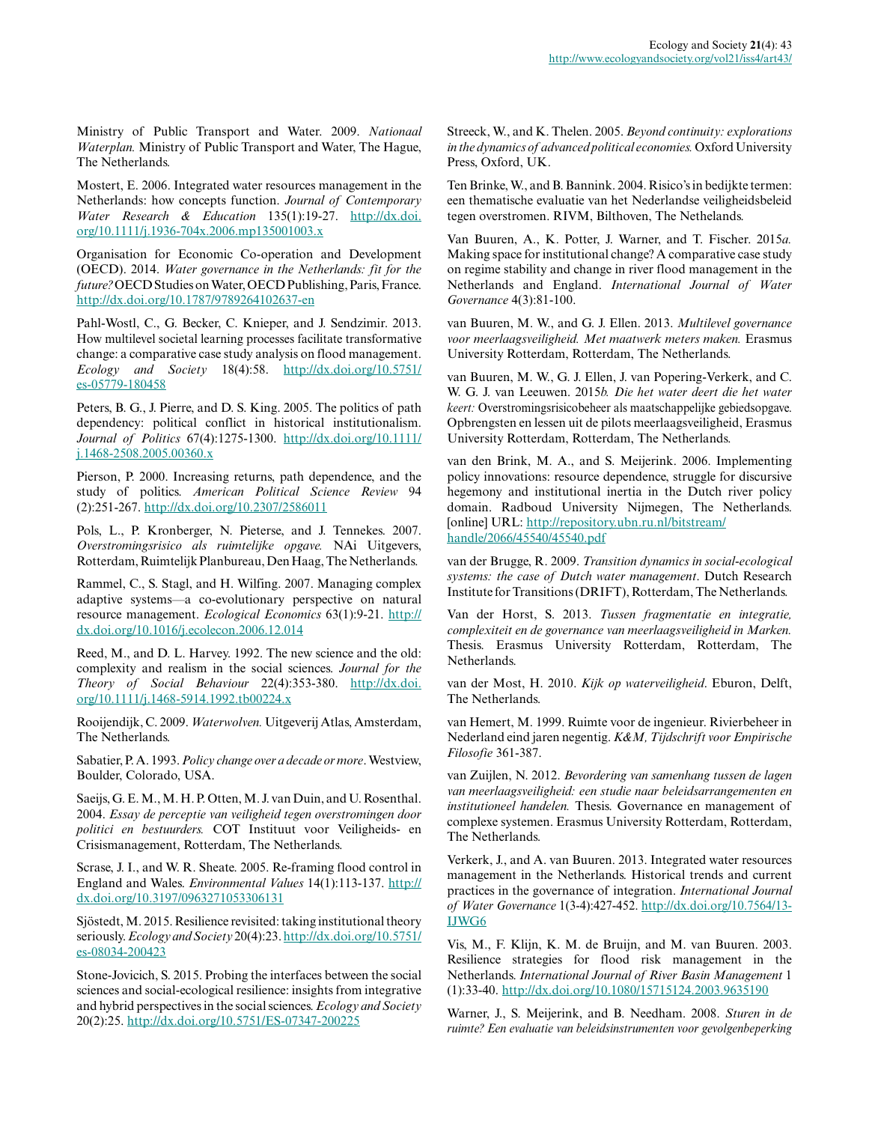Ministry of Public Transport and Water. 2009. *Nationaal Waterplan.* Ministry of Public Transport and Water, The Hague, The Netherlands.

Mostert, E. 2006. Integrated water resources management in the Netherlands: how concepts function. *Journal of Contemporary Water Research & Education* 135(1):19-27. [http://dx.doi.](http://dx.doi.org/10.1111%2Fj.1936-704x.2006.mp135001003.x) [org/10.1111/j.1936-704x.2006.mp135001003.x](http://dx.doi.org/10.1111%2Fj.1936-704x.2006.mp135001003.x) 

Organisation for Economic Co-operation and Development (OECD). 2014. *Water governance in the Netherlands: fit for the future?* OECD Studies on Water, OECD Publishing, Paris, France. [http://dx.doi.org/10.1787/9789264102637-en](http://dx.doi.org/10.1787%2F9789264102637-en) 

Pahl-Wostl, C., G. Becker, C. Knieper, and J. Sendzimir. 2013. How multilevel societal learning processes facilitate transformative change: a comparative case study analysis on flood management. *Ecology and Society* 18(4):58. [http://dx.doi.org/10.5751/](http://dx.doi.org/10.5751%2Fes-05779-180458) [es-05779-180458](http://dx.doi.org/10.5751%2Fes-05779-180458) 

Peters, B. G., J. Pierre, and D. S. King. 2005. The politics of path dependency: political conflict in historical institutionalism. *Journal of Politics* 67(4):1275-1300. [http://dx.doi.org/10.1111/](http://dx.doi.org/10.1111%2Fj.1468-2508.2005.00360.x) [j.1468-2508.2005.00360.x](http://dx.doi.org/10.1111%2Fj.1468-2508.2005.00360.x)

Pierson, P. 2000. Increasing returns, path dependence, and the study of politics. *American Political Science Review* 94 (2):251-267. [http://dx.doi.org/10.2307/2586011](http://dx.doi.org/10.2307%2F2586011)

Pols, L., P. Kronberger, N. Pieterse, and J. Tennekes. 2007. *Overstromingsrisico als ruimtelijke opgave.* NAi Uitgevers, Rotterdam, Ruimtelijk Planbureau, Den Haag, The Netherlands.

Rammel, C., S. Stagl, and H. Wilfing. 2007. Managing complex adaptive systems—a co-evolutionary perspective on natural resource management. *Ecological Economics* 63(1):9-21. [http://](http://dx.doi.org/10.1016%2Fj.ecolecon.2006.12.014) [dx.doi.org/10.1016/j.ecolecon.2006.12.014](http://dx.doi.org/10.1016%2Fj.ecolecon.2006.12.014) 

Reed, M., and D. L. Harvey. 1992. The new science and the old: complexity and realism in the social sciences. *Journal for the Theory of Social Behaviour* 22(4):353-380. [http://dx.doi.](http://dx.doi.org/10.1111%2Fj.1468-5914.1992.tb00224.x) [org/10.1111/j.1468-5914.1992.tb00224.x](http://dx.doi.org/10.1111%2Fj.1468-5914.1992.tb00224.x)

Rooijendijk, C. 2009. *Waterwolven.* Uitgeverij Atlas, Amsterdam, The Netherlands.

Sabatier, P. A. 1993. *Policy change over a decade or more*. Westview, Boulder, Colorado, USA.

Saeijs, G. E. M., M. H. P. Otten, M. J. van Duin, and U. Rosenthal. 2004. *Essay de perceptie van veiligheid tegen overstromingen door politici en bestuurders.* COT Instituut voor Veiligheids- en Crisismanagement, Rotterdam, The Netherlands.

Scrase, J. I., and W. R. Sheate. 2005. Re-framing flood control in England and Wales. *Environmental Values* 14(1):113-137. [http://](http://dx.doi.org/10.3197%2F0963271053306131) [dx.doi.org/10.3197/0963271053306131](http://dx.doi.org/10.3197%2F0963271053306131) 

Sjöstedt, M. 2015. Resilience revisited: taking institutional theory seriously. *Ecology and Society* 20(4):23. [http://dx.doi.org/10.5751/](http://dx.doi.org/10.5751%2Fes-08034-200423) [es-08034-200423](http://dx.doi.org/10.5751%2Fes-08034-200423) 

Stone-Jovicich, S. 2015. Probing the interfaces between the social sciences and social-ecological resilience: insights from integrative and hybrid perspectives in the social sciences. *Ecology and Society* 20(2):25. [http://dx.doi.org/10.5751/ES-07347-200225](http://dx.doi.org/10.5751%2FES-07347-200225)

Streeck, W., and K. Thelen. 2005. *Beyond continuity: explorations in the dynamics of advanced political economies.* Oxford University Press, Oxford, UK.

Ten Brinke, W., and B. Bannink. 2004. Risico's in bedijkte termen: een thematische evaluatie van het Nederlandse veiligheidsbeleid tegen overstromen. RIVM, Bilthoven, The Nethelands.

Van Buuren, A., K. Potter, J. Warner, and T. Fischer. 2015*a.* Making space for institutional change? A comparative case study on regime stability and change in river flood management in the Netherlands and England. *International Journal of Water Governance* 4(3):81-100.

van Buuren, M. W., and G. J. Ellen. 2013. *Multilevel governance voor meerlaagsveiligheid. Met maatwerk meters maken.* Erasmus University Rotterdam, Rotterdam, The Netherlands.

van Buuren, M. W., G. J. Ellen, J. van Popering-Verkerk, and C. W. G. J. van Leeuwen. 2015*b. Die het water deert die het water keert:* Overstromingsrisicobeheer als maatschappelijke gebiedsopgave. Opbrengsten en lessen uit de pilots meerlaagsveiligheid, Erasmus University Rotterdam, Rotterdam, The Netherlands.

van den Brink, M. A., and S. Meijerink. 2006. Implementing policy innovations: resource dependence, struggle for discursive hegemony and institutional inertia in the Dutch river policy domain. Radboud University Nijmegen, The Netherlands. [online] URL: [http://repository.ubn.ru.nl/bitstream/](http://repository.ubn.ru.nl/bitstream/handle/2066/45540/45540.pdf) [handle/2066/45540/45540.pdf](http://repository.ubn.ru.nl/bitstream/handle/2066/45540/45540.pdf)

van der Brugge, R. 2009. *Transition dynamics in social-ecological systems: the case of Dutch water management*. Dutch Research Institute for Transitions (DRIFT), Rotterdam, The Netherlands.

Van der Horst, S. 2013. *Tussen fragmentatie en integratie, complexiteit en de governance van meerlaagsveiligheid in Marken.* Thesis. Erasmus University Rotterdam, Rotterdam, The Netherlands.

van der Most, H. 2010. *Kijk op waterveiligheid*. Eburon, Delft, The Netherlands.

van Hemert, M. 1999. Ruimte voor de ingenieur. Rivierbeheer in Nederland eind jaren negentig. *K&M, Tijdschrift voor Empirische Filosofie* 361-387.

van Zuijlen, N. 2012. *Bevordering van samenhang tussen de lagen van meerlaagsveiligheid: een studie naar beleidsarrangementen en institutioneel handelen.* Thesis. Governance en management of complexe systemen. Erasmus University Rotterdam, Rotterdam, The Netherlands.

Verkerk, J., and A. van Buuren. 2013. Integrated water resources management in the Netherlands. Historical trends and current practices in the governance of integration. *International Journal of Water Governance* 1(3-4):427-452. [http://dx.doi.org/10.7564/13-](http://dx.doi.org/10.7564%2F13-IJWG6) [IJWG6](http://dx.doi.org/10.7564%2F13-IJWG6) 

Vis, M., F. Klijn, K. M. de Bruijn, and M. van Buuren. 2003. Resilience strategies for flood risk management in the Netherlands. *International Journal of River Basin Management* 1 (1):33-40. [http://dx.doi.org/10.1080/15715124.2003.9635190](http://dx.doi.org/10.1080%2F15715124.2003.9635190)

Warner, J., S. Meijerink, and B. Needham. 2008. *Sturen in de ruimte? Een evaluatie van beleidsinstrumenten voor gevolgenbeperking*